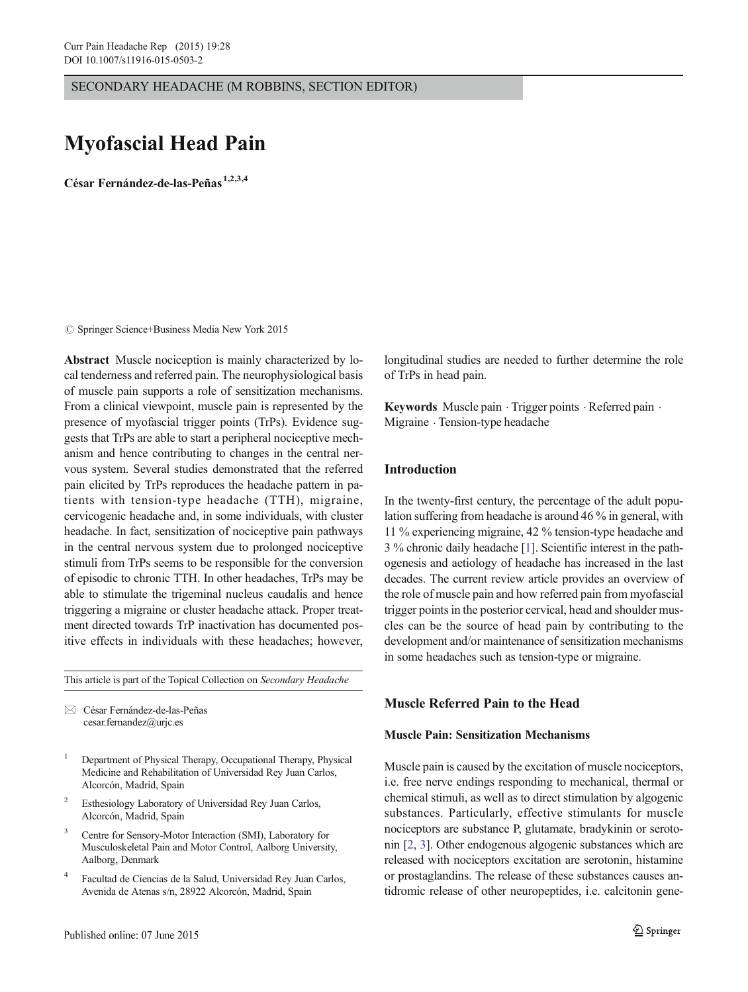SECONDARY HEADACHE (M ROBBINS, SECTION EDITOR)

# Myofascial Head Pain

César Fernández-de-las-Peñas<sup>1,2,3,4</sup>

 $\circ$  Springer Science+Business Media New York 2015

Abstract Muscle nociception is mainly characterized by local tenderness and referred pain. The neurophysiological basis of muscle pain supports a role of sensitization mechanisms. From a clinical viewpoint, muscle pain is represented by the presence of myofascial trigger points (TrPs). Evidence suggests that TrPs are able to start a peripheral nociceptive mechanism and hence contributing to changes in the central nervous system. Several studies demonstrated that the referred pain elicited by TrPs reproduces the headache pattern in patients with tension-type headache (TTH), migraine, cervicogenic headache and, in some individuals, with cluster headache. In fact, sensitization of nociceptive pain pathways in the central nervous system due to prolonged nociceptive stimuli from TrPs seems to be responsible for the conversion of episodic to chronic TTH. In other headaches, TrPs may be able to stimulate the trigeminal nucleus caudalis and hence triggering a migraine or cluster headache attack. Proper treatment directed towards TrP inactivation has documented positive effects in individuals with these headaches; however,

This article is part of the Topical Collection on Secondary Headache

 $\boxtimes$  César Fernández-de-las-Peñas cesar.fernandez@urjc.es

- <sup>1</sup> Department of Physical Therapy, Occupational Therapy, Physical Medicine and Rehabilitation of Universidad Rey Juan Carlos, Alcorcón, Madrid, Spain
- <sup>2</sup> Esthesiology Laboratory of Universidad Rey Juan Carlos, Alcorcón, Madrid, Spain
- <sup>3</sup> Centre for Sensory-Motor Interaction (SMI), Laboratory for Musculoskeletal Pain and Motor Control, Aalborg University, Aalborg, Denmark
- <sup>4</sup> Facultad de Ciencias de la Salud, Universidad Rey Juan Carlos, Avenida de Atenas s/n, 28922 Alcorcón, Madrid, Spain

longitudinal studies are needed to further determine the role of TrPs in head pain.

Keywords Muscle pain · Trigger points · Referred pain · Migraine . Tension-type headache

## Introduction

In the twenty-first century, the percentage of the adult population suffering from headache is around 46 % in general, with 11 % experiencing migraine, 42 % tension-type headache and 3 % chronic daily headache [\[1](#page-4-0)]. Scientific interest in the pathogenesis and aetiology of headache has increased in the last decades. The current review article provides an overview of the role of muscle pain and how referred pain from myofascial trigger points in the posterior cervical, head and shoulder muscles can be the source of head pain by contributing to the development and/or maintenance of sensitization mechanisms in some headaches such as tension-type or migraine.

## Muscle Referred Pain to the Head

## Muscle Pain: Sensitization Mechanisms

Muscle pain is caused by the excitation of muscle nociceptors, i.e. free nerve endings responding to mechanical, thermal or chemical stimuli, as well as to direct stimulation by algogenic substances. Particularly, effective stimulants for muscle nociceptors are substance P, glutamate, bradykinin or serotonin [\[2](#page-4-0), [3](#page-4-0)]. Other endogenous algogenic substances which are released with nociceptors excitation are serotonin, histamine or prostaglandins. The release of these substances causes antidromic release of other neuropeptides, i.e. calcitonin gene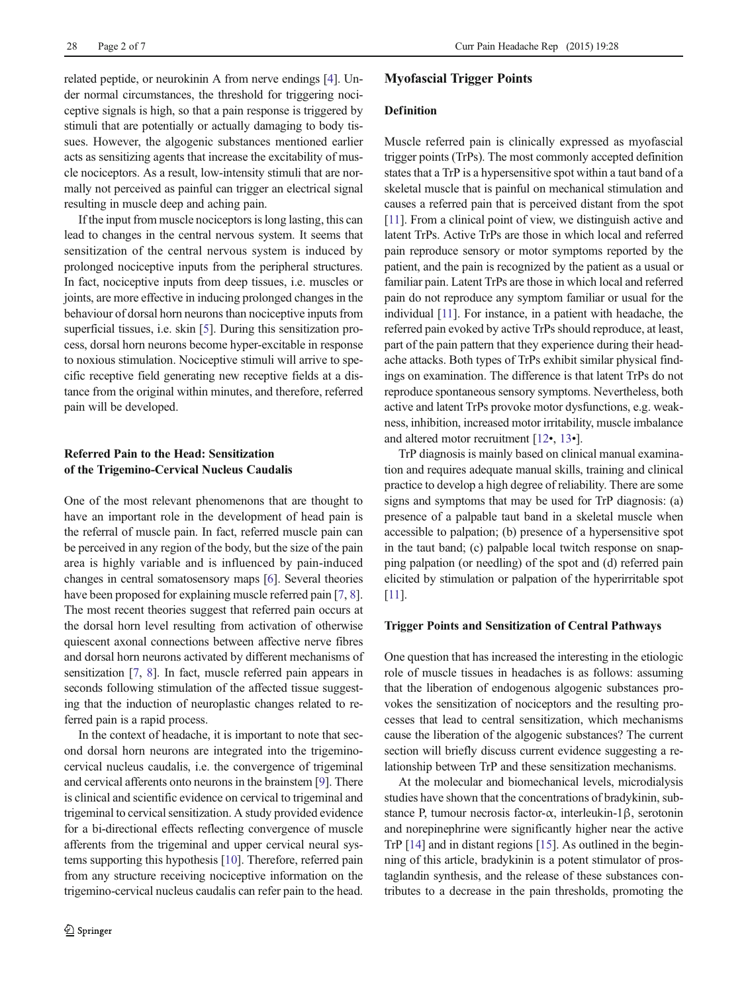related peptide, or neurokinin A from nerve endings [[4\]](#page-4-0). Under normal circumstances, the threshold for triggering nociceptive signals is high, so that a pain response is triggered by stimuli that are potentially or actually damaging to body tissues. However, the algogenic substances mentioned earlier acts as sensitizing agents that increase the excitability of muscle nociceptors. As a result, low-intensity stimuli that are normally not perceived as painful can trigger an electrical signal resulting in muscle deep and aching pain.

If the input from muscle nociceptors is long lasting, this can lead to changes in the central nervous system. It seems that sensitization of the central nervous system is induced by prolonged nociceptive inputs from the peripheral structures. In fact, nociceptive inputs from deep tissues, i.e. muscles or joints, are more effective in inducing prolonged changes in the behaviour of dorsal horn neurons than nociceptive inputs from superficial tissues, i.e. skin [[5\]](#page-4-0). During this sensitization process, dorsal horn neurons become hyper-excitable in response to noxious stimulation. Nociceptive stimuli will arrive to specific receptive field generating new receptive fields at a distance from the original within minutes, and therefore, referred pain will be developed.

# Referred Pain to the Head: Sensitization of the Trigemino-Cervical Nucleus Caudalis

One of the most relevant phenomenons that are thought to have an important role in the development of head pain is the referral of muscle pain. In fact, referred muscle pain can be perceived in any region of the body, but the size of the pain area is highly variable and is influenced by pain-induced changes in central somatosensory maps [\[6\]](#page-4-0). Several theories have been proposed for explaining muscle referred pain [\[7](#page-4-0), [8\]](#page-4-0). The most recent theories suggest that referred pain occurs at the dorsal horn level resulting from activation of otherwise quiescent axonal connections between affective nerve fibres and dorsal horn neurons activated by different mechanisms of sensitization [[7,](#page-4-0) [8\]](#page-4-0). In fact, muscle referred pain appears in seconds following stimulation of the affected tissue suggesting that the induction of neuroplastic changes related to referred pain is a rapid process.

In the context of headache, it is important to note that second dorsal horn neurons are integrated into the trigeminocervical nucleus caudalis, i.e. the convergence of trigeminal and cervical afferents onto neurons in the brainstem [\[9\]](#page-4-0). There is clinical and scientific evidence on cervical to trigeminal and trigeminal to cervical sensitization. A study provided evidence for a bi-directional effects reflecting convergence of muscle afferents from the trigeminal and upper cervical neural systems supporting this hypothesis [\[10\]](#page-4-0). Therefore, referred pain from any structure receiving nociceptive information on the trigemino-cervical nucleus caudalis can refer pain to the head.

## Myofascial Trigger Points

## Definition

Muscle referred pain is clinically expressed as myofascial trigger points (TrPs). The most commonly accepted definition states that a TrP is a hypersensitive spot within a taut band of a skeletal muscle that is painful on mechanical stimulation and causes a referred pain that is perceived distant from the spot [\[11\]](#page-4-0). From a clinical point of view, we distinguish active and latent TrPs. Active TrPs are those in which local and referred pain reproduce sensory or motor symptoms reported by the patient, and the pain is recognized by the patient as a usual or familiar pain. Latent TrPs are those in which local and referred pain do not reproduce any symptom familiar or usual for the individual [[11](#page-4-0)]. For instance, in a patient with headache, the referred pain evoked by active TrPs should reproduce, at least, part of the pain pattern that they experience during their headache attacks. Both types of TrPs exhibit similar physical findings on examination. The difference is that latent TrPs do not reproduce spontaneous sensory symptoms. Nevertheless, both active and latent TrPs provoke motor dysfunctions, e.g. weakness, inhibition, increased motor irritability, muscle imbalance and altered motor recruitment [\[12](#page-4-0)•, [13](#page-5-0)•].

TrP diagnosis is mainly based on clinical manual examination and requires adequate manual skills, training and clinical practice to develop a high degree of reliability. There are some signs and symptoms that may be used for TrP diagnosis: (a) presence of a palpable taut band in a skeletal muscle when accessible to palpation; (b) presence of a hypersensitive spot in the taut band; (c) palpable local twitch response on snapping palpation (or needling) of the spot and (d) referred pain elicited by stimulation or palpation of the hyperirritable spot [\[11\]](#page-4-0).

## Trigger Points and Sensitization of Central Pathways

One question that has increased the interesting in the etiologic role of muscle tissues in headaches is as follows: assuming that the liberation of endogenous algogenic substances provokes the sensitization of nociceptors and the resulting processes that lead to central sensitization, which mechanisms cause the liberation of the algogenic substances? The current section will briefly discuss current evidence suggesting a relationship between TrP and these sensitization mechanisms.

At the molecular and biomechanical levels, microdialysis studies have shown that the concentrations of bradykinin, substance P, tumour necrosis factor-α, interleukin-1β, serotonin and norepinephrine were significantly higher near the active TrP [\[14\]](#page-5-0) and in distant regions [\[15\]](#page-5-0). As outlined in the beginning of this article, bradykinin is a potent stimulator of prostaglandin synthesis, and the release of these substances contributes to a decrease in the pain thresholds, promoting the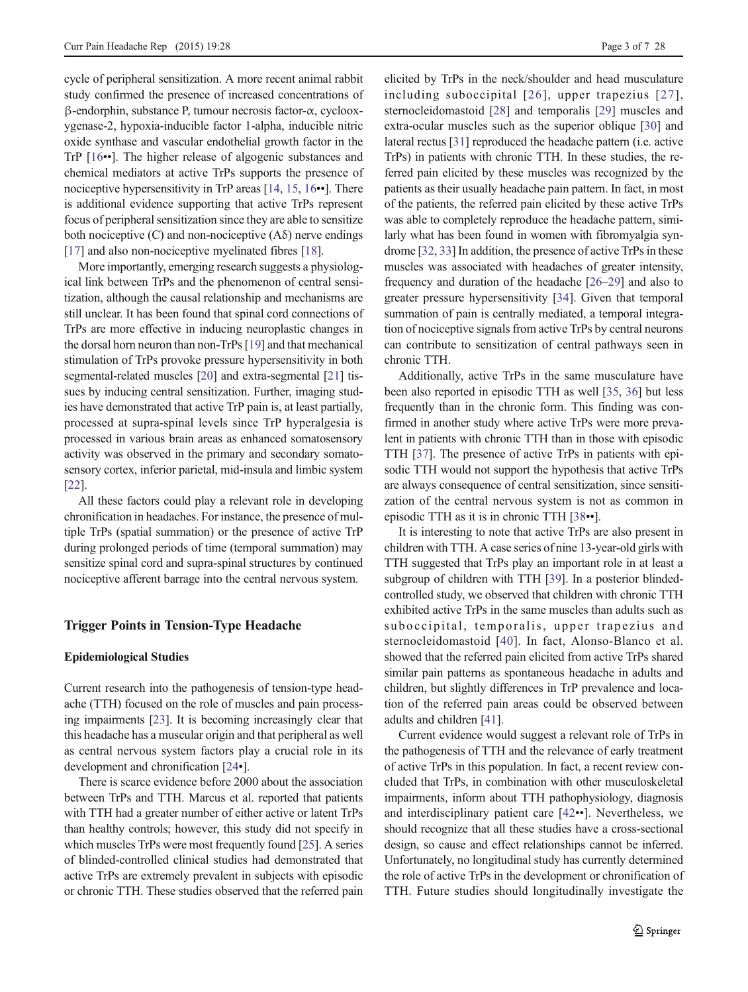cycle of peripheral sensitization. A more recent animal rabbit study confirmed the presence of increased concentrations of β-endorphin, substance P, tumour necrosis factor-α, cyclooxygenase-2, hypoxia-inducible factor 1-alpha, inducible nitric oxide synthase and vascular endothelial growth factor in the TrP [\[16](#page-5-0)••]. The higher release of algogenic substances and chemical mediators at active TrPs supports the presence of nociceptive hypersensitivity in TrP areas [\[14,](#page-5-0) [15](#page-5-0), [16](#page-5-0)••]. There is additional evidence supporting that active TrPs represent focus of peripheral sensitization since they are able to sensitize both nociceptive  $(C)$  and non-nociceptive  $(A\delta)$  nerve endings [\[17\]](#page-5-0) and also non-nociceptive myelinated fibres [[18\]](#page-5-0).

More importantly, emerging research suggests a physiological link between TrPs and the phenomenon of central sensitization, although the causal relationship and mechanisms are still unclear. It has been found that spinal cord connections of TrPs are more effective in inducing neuroplastic changes in the dorsal horn neuron than non-TrPs [\[19\]](#page-5-0) and that mechanical stimulation of TrPs provoke pressure hypersensitivity in both segmental-related muscles [[20\]](#page-5-0) and extra-segmental [[21\]](#page-5-0) tissues by inducing central sensitization. Further, imaging studies have demonstrated that active TrP pain is, at least partially, processed at supra-spinal levels since TrP hyperalgesia is processed in various brain areas as enhanced somatosensory activity was observed in the primary and secondary somatosensory cortex, inferior parietal, mid-insula and limbic system [\[22\]](#page-5-0).

All these factors could play a relevant role in developing chronification in headaches. For instance, the presence of multiple TrPs (spatial summation) or the presence of active TrP during prolonged periods of time (temporal summation) may sensitize spinal cord and supra-spinal structures by continued nociceptive afferent barrage into the central nervous system.

## Trigger Points in Tension-Type Headache

#### Epidemiological Studies

Current research into the pathogenesis of tension-type headache (TTH) focused on the role of muscles and pain processing impairments [[23\]](#page-5-0). It is becoming increasingly clear that this headache has a muscular origin and that peripheral as well as central nervous system factors play a crucial role in its development and chronification [\[24](#page-5-0)•].

There is scarce evidence before 2000 about the association between TrPs and TTH. Marcus et al. reported that patients with TTH had a greater number of either active or latent TrPs than healthy controls; however, this study did not specify in which muscles TrPs were most frequently found [[25\]](#page-5-0). A series of blinded-controlled clinical studies had demonstrated that active TrPs are extremely prevalent in subjects with episodic or chronic TTH. These studies observed that the referred pain elicited by TrPs in the neck/shoulder and head musculature including suboccipital [[26](#page-5-0)], upper trapezius [[27\]](#page-5-0), sternocleidomastoid [\[28](#page-5-0)] and temporalis [\[29](#page-5-0)] muscles and extra-ocular muscles such as the superior oblique [\[30](#page-5-0)] and lateral rectus [[31\]](#page-5-0) reproduced the headache pattern (i.e. active TrPs) in patients with chronic TTH. In these studies, the referred pain elicited by these muscles was recognized by the patients as their usually headache pain pattern. In fact, in most of the patients, the referred pain elicited by these active TrPs was able to completely reproduce the headache pattern, similarly what has been found in women with fibromyalgia syndrome [\[32,](#page-5-0) [33\]](#page-5-0) In addition, the presence of active TrPs in these muscles was associated with headaches of greater intensity, frequency and duration of the headache [[26](#page-5-0)–[29](#page-5-0)] and also to greater pressure hypersensitivity [\[34](#page-5-0)]. Given that temporal summation of pain is centrally mediated, a temporal integration of nociceptive signals from active TrPs by central neurons can contribute to sensitization of central pathways seen in chronic TTH.

Additionally, active TrPs in the same musculature have been also reported in episodic TTH as well [\[35,](#page-5-0) [36](#page-5-0)] but less frequently than in the chronic form. This finding was confirmed in another study where active TrPs were more prevalent in patients with chronic TTH than in those with episodic TTH [[37](#page-5-0)]. The presence of active TrPs in patients with episodic TTH would not support the hypothesis that active TrPs are always consequence of central sensitization, since sensitization of the central nervous system is not as common in episodic TTH as it is in chronic TTH [[38](#page-5-0)••].

It is interesting to note that active TrPs are also present in children with TTH. A case series of nine 13-year-old girls with TTH suggested that TrPs play an important role in at least a subgroup of children with TTH [\[39](#page-5-0)]. In a posterior blindedcontrolled study, we observed that children with chronic TTH exhibited active TrPs in the same muscles than adults such as suboccipital, temporalis, upper trapezius and sternocleidomastoid [\[40](#page-5-0)]. In fact, Alonso-Blanco et al. showed that the referred pain elicited from active TrPs shared similar pain patterns as spontaneous headache in adults and children, but slightly differences in TrP prevalence and location of the referred pain areas could be observed between adults and children [\[41\]](#page-5-0).

Current evidence would suggest a relevant role of TrPs in the pathogenesis of TTH and the relevance of early treatment of active TrPs in this population. In fact, a recent review concluded that TrPs, in combination with other musculoskeletal impairments, inform about TTH pathophysiology, diagnosis and interdisciplinary patient care [\[42](#page-5-0)••]. Nevertheless, we should recognize that all these studies have a cross-sectional design, so cause and effect relationships cannot be inferred. Unfortunately, no longitudinal study has currently determined the role of active TrPs in the development or chronification of TTH. Future studies should longitudinally investigate the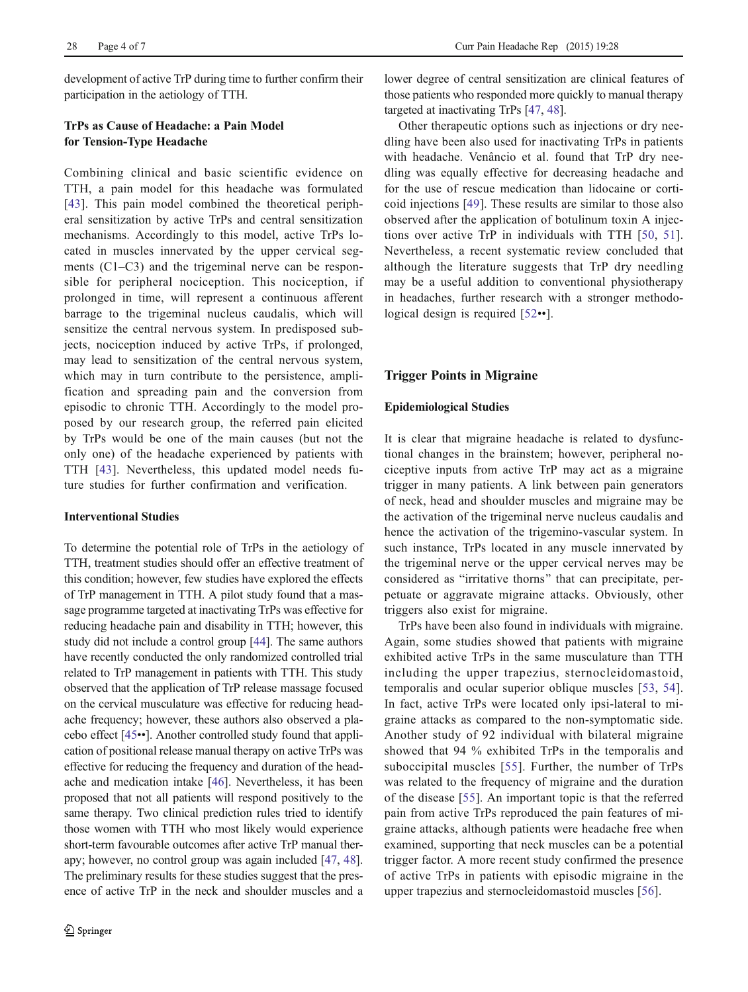development of active TrP during time to further confirm their participation in the aetiology of TTH.

# TrPs as Cause of Headache: a Pain Model for Tension-Type Headache

Combining clinical and basic scientific evidence on TTH, a pain model for this headache was formulated [\[43\]](#page-5-0). This pain model combined the theoretical peripheral sensitization by active TrPs and central sensitization mechanisms. Accordingly to this model, active TrPs located in muscles innervated by the upper cervical segments (C1–C3) and the trigeminal nerve can be responsible for peripheral nociception. This nociception, if prolonged in time, will represent a continuous afferent barrage to the trigeminal nucleus caudalis, which will sensitize the central nervous system. In predisposed subjects, nociception induced by active TrPs, if prolonged, may lead to sensitization of the central nervous system, which may in turn contribute to the persistence, amplification and spreading pain and the conversion from episodic to chronic TTH. Accordingly to the model proposed by our research group, the referred pain elicited by TrPs would be one of the main causes (but not the only one) of the headache experienced by patients with TTH [\[43](#page-5-0)]. Nevertheless, this updated model needs future studies for further confirmation and verification.

## Interventional Studies

To determine the potential role of TrPs in the aetiology of TTH, treatment studies should offer an effective treatment of this condition; however, few studies have explored the effects of TrP management in TTH. A pilot study found that a massage programme targeted at inactivating TrPs was effective for reducing headache pain and disability in TTH; however, this study did not include a control group [\[44\]](#page-5-0). The same authors have recently conducted the only randomized controlled trial related to TrP management in patients with TTH. This study observed that the application of TrP release massage focused on the cervical musculature was effective for reducing headache frequency; however, these authors also observed a placebo effect [\[45](#page-5-0)••]. Another controlled study found that application of positional release manual therapy on active TrPs was effective for reducing the frequency and duration of the headache and medication intake [[46\]](#page-5-0). Nevertheless, it has been proposed that not all patients will respond positively to the same therapy. Two clinical prediction rules tried to identify those women with TTH who most likely would experience short-term favourable outcomes after active TrP manual therapy; however, no control group was again included [[47](#page-5-0), [48\]](#page-6-0). The preliminary results for these studies suggest that the presence of active TrP in the neck and shoulder muscles and a

lower degree of central sensitization are clinical features of those patients who responded more quickly to manual therapy targeted at inactivating TrPs [\[47,](#page-5-0) [48\]](#page-6-0).

Other therapeutic options such as injections or dry needling have been also used for inactivating TrPs in patients with headache. Venâncio et al. found that TrP dry needling was equally effective for decreasing headache and for the use of rescue medication than lidocaine or corticoid injections [[49](#page-6-0)]. These results are similar to those also observed after the application of botulinum toxin A injections over active TrP in individuals with TTH [[50](#page-6-0), [51](#page-6-0)]. Nevertheless, a recent systematic review concluded that although the literature suggests that TrP dry needling may be a useful addition to conventional physiotherapy in headaches, further research with a stronger methodological design is required [[52](#page-6-0)••].

## Trigger Points in Migraine

#### Epidemiological Studies

It is clear that migraine headache is related to dysfunctional changes in the brainstem; however, peripheral nociceptive inputs from active TrP may act as a migraine trigger in many patients. A link between pain generators of neck, head and shoulder muscles and migraine may be the activation of the trigeminal nerve nucleus caudalis and hence the activation of the trigemino-vascular system. In such instance, TrPs located in any muscle innervated by the trigeminal nerve or the upper cervical nerves may be considered as "irritative thorns" that can precipitate, perpetuate or aggravate migraine attacks. Obviously, other triggers also exist for migraine.

TrPs have been also found in individuals with migraine. Again, some studies showed that patients with migraine exhibited active TrPs in the same musculature than TTH including the upper trapezius, sternocleidomastoid, temporalis and ocular superior oblique muscles [[53,](#page-6-0) [54](#page-6-0)]. In fact, active TrPs were located only ipsi-lateral to migraine attacks as compared to the non-symptomatic side. Another study of 92 individual with bilateral migraine showed that 94 % exhibited TrPs in the temporalis and suboccipital muscles [[55\]](#page-6-0). Further, the number of TrPs was related to the frequency of migraine and the duration of the disease [[55\]](#page-6-0). An important topic is that the referred pain from active TrPs reproduced the pain features of migraine attacks, although patients were headache free when examined, supporting that neck muscles can be a potential trigger factor. A more recent study confirmed the presence of active TrPs in patients with episodic migraine in the upper trapezius and sternocleidomastoid muscles [[56](#page-6-0)].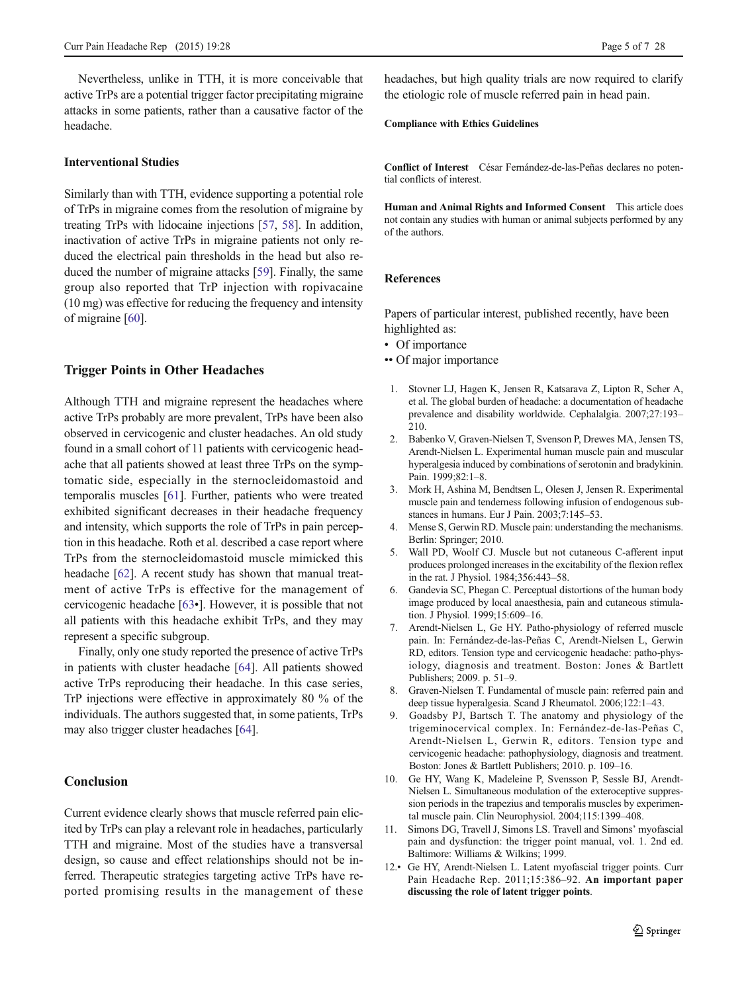<span id="page-4-0"></span>Nevertheless, unlike in TTH, it is more conceivable that active TrPs are a potential trigger factor precipitating migraine attacks in some patients, rather than a causative factor of the headache.

## Interventional Studies

Similarly than with TTH, evidence supporting a potential role of TrPs in migraine comes from the resolution of migraine by treating TrPs with lidocaine injections [[57,](#page-6-0) [58](#page-6-0)]. In addition, inactivation of active TrPs in migraine patients not only reduced the electrical pain thresholds in the head but also reduced the number of migraine attacks [[59](#page-6-0)]. Finally, the same group also reported that TrP injection with ropivacaine (10 mg) was effective for reducing the frequency and intensity of migraine [[60\]](#page-6-0).

## Trigger Points in Other Headaches

Although TTH and migraine represent the headaches where active TrPs probably are more prevalent, TrPs have been also observed in cervicogenic and cluster headaches. An old study found in a small cohort of 11 patients with cervicogenic headache that all patients showed at least three TrPs on the symptomatic side, especially in the sternocleidomastoid and temporalis muscles [\[61](#page-6-0)]. Further, patients who were treated exhibited significant decreases in their headache frequency and intensity, which supports the role of TrPs in pain perception in this headache. Roth et al. described a case report where TrPs from the sternocleidomastoid muscle mimicked this headache [[62](#page-6-0)]. A recent study has shown that manual treatment of active TrPs is effective for the management of cervicogenic headache [\[63](#page-6-0)•]. However, it is possible that not all patients with this headache exhibit TrPs, and they may represent a specific subgroup.

Finally, only one study reported the presence of active TrPs in patients with cluster headache [[64\]](#page-6-0). All patients showed active TrPs reproducing their headache. In this case series, TrP injections were effective in approximately 80 % of the individuals. The authors suggested that, in some patients, TrPs may also trigger cluster headaches [[64](#page-6-0)].

# Conclusion

Current evidence clearly shows that muscle referred pain elicited by TrPs can play a relevant role in headaches, particularly TTH and migraine. Most of the studies have a transversal design, so cause and effect relationships should not be inferred. Therapeutic strategies targeting active TrPs have reported promising results in the management of these headaches, but high quality trials are now required to clarify the etiologic role of muscle referred pain in head pain.

#### Compliance with Ethics Guidelines

Conflict of Interest César Fernández-de-las-Peñas declares no potential conflicts of interest.

Human and Animal Rights and Informed Consent This article does not contain any studies with human or animal subjects performed by any of the authors.

#### References

Papers of particular interest, published recently, have been highlighted as:

- Of importance
- •• Of major importance
- 1. Stovner LJ, Hagen K, Jensen R, Katsarava Z, Lipton R, Scher A, et al. The global burden of headache: a documentation of headache prevalence and disability worldwide. Cephalalgia. 2007;27:193– 210.
- 2. Babenko V, Graven-Nielsen T, Svenson P, Drewes MA, Jensen TS, Arendt-Nielsen L. Experimental human muscle pain and muscular hyperalgesia induced by combinations of serotonin and bradykinin. Pain. 1999;82:1–8.
- 3. Mork H, Ashina M, Bendtsen L, Olesen J, Jensen R. Experimental muscle pain and tenderness following infusion of endogenous substances in humans. Eur J Pain. 2003;7:145–53.
- 4. Mense S, Gerwin RD. Muscle pain: understanding the mechanisms. Berlin: Springer; 2010.
- 5. Wall PD, Woolf CJ. Muscle but not cutaneous C-afferent input produces prolonged increases in the excitability of the flexion reflex in the rat. J Physiol. 1984;356:443–58.
- 6. Gandevia SC, Phegan C. Perceptual distortions of the human body image produced by local anaesthesia, pain and cutaneous stimulation. J Physiol. 1999;15:609–16.
- 7. Arendt-Nielsen L, Ge HY. Patho-physiology of referred muscle pain. In: Fernández-de-las-Peñas C, Arendt-Nielsen L, Gerwin RD, editors. Tension type and cervicogenic headache: patho-physiology, diagnosis and treatment. Boston: Jones & Bartlett Publishers; 2009. p. 51–9.
- 8. Graven-Nielsen T. Fundamental of muscle pain: referred pain and deep tissue hyperalgesia. Scand J Rheumatol. 2006;122:1–43.
- 9. Goadsby PJ, Bartsch T. The anatomy and physiology of the trigeminocervical complex. In: Fernández-de-las-Peñas C, Arendt-Nielsen L, Gerwin R, editors. Tension type and cervicogenic headache: pathophysiology, diagnosis and treatment. Boston: Jones & Bartlett Publishers; 2010. p. 109–16.
- 10. Ge HY, Wang K, Madeleine P, Svensson P, Sessle BJ, Arendt-Nielsen L. Simultaneous modulation of the exteroceptive suppression periods in the trapezius and temporalis muscles by experimental muscle pain. Clin Neurophysiol. 2004;115:1399–408.
- 11. Simons DG, Travell J, Simons LS. Travell and Simons' myofascial pain and dysfunction: the trigger point manual, vol. 1. 2nd ed. Baltimore: Williams & Wilkins; 1999.
- 12.• Ge HY, Arendt-Nielsen L. Latent myofascial trigger points. Curr Pain Headache Rep. 2011;15:386–92. An important paper discussing the role of latent trigger points.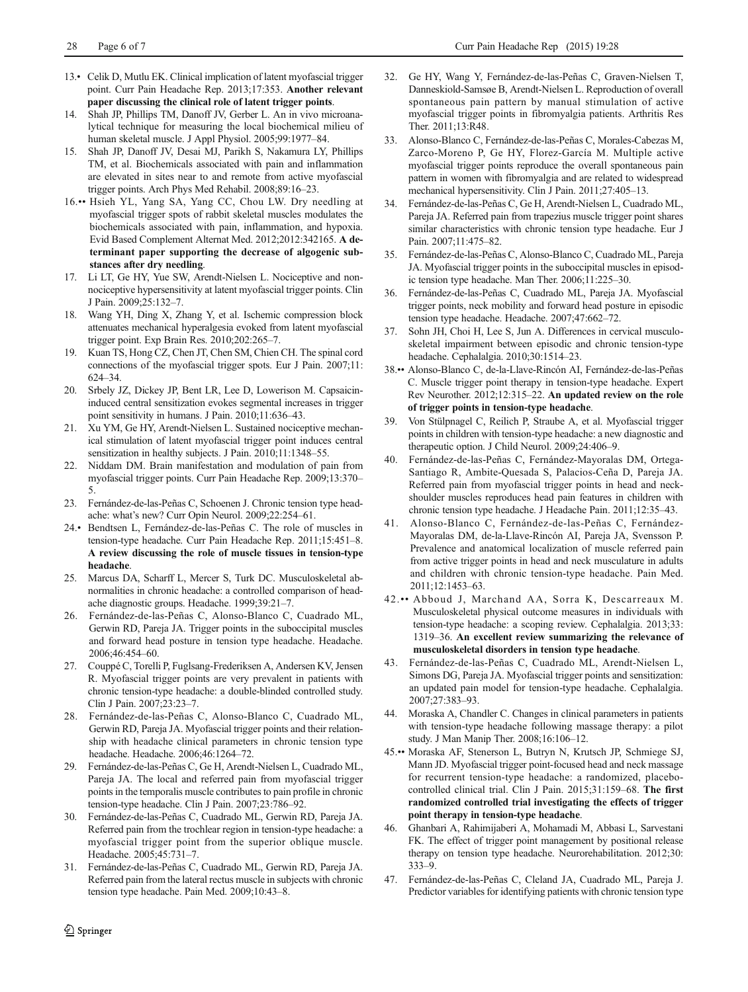- <span id="page-5-0"></span>13.• Celik D, Mutlu EK. Clinical implication of latent myofascial trigger point. Curr Pain Headache Rep. 2013;17:353. Another relevant paper discussing the clinical role of latent trigger points.
- 14. Shah JP, Phillips TM, Danoff JV, Gerber L. An in vivo microanalytical technique for measuring the local biochemical milieu of human skeletal muscle. J Appl Physiol. 2005;99:1977–84.
- 15. Shah JP, Danoff JV, Desai MJ, Parikh S, Nakamura LY, Phillips TM, et al. Biochemicals associated with pain and inflammation are elevated in sites near to and remote from active myofascial trigger points. Arch Phys Med Rehabil. 2008;89:16–23.
- 16.•• Hsieh YL, Yang SA, Yang CC, Chou LW. Dry needling at myofascial trigger spots of rabbit skeletal muscles modulates the biochemicals associated with pain, inflammation, and hypoxia. Evid Based Complement Alternat Med. 2012;2012:342165. A determinant paper supporting the decrease of algogenic substances after dry needling.
- 17. Li LT, Ge HY, Yue SW, Arendt-Nielsen L. Nociceptive and nonnociceptive hypersensitivity at latent myofascial trigger points. Clin J Pain. 2009;25:132–7.
- 18. Wang YH, Ding X, Zhang Y, et al. Ischemic compression block attenuates mechanical hyperalgesia evoked from latent myofascial trigger point. Exp Brain Res. 2010;202:265–7.
- Kuan TS, Hong CZ, Chen JT, Chen SM, Chien CH. The spinal cord connections of the myofascial trigger spots. Eur J Pain. 2007;11: 624–34.
- 20. Srbely JZ, Dickey JP, Bent LR, Lee D, Lowerison M. Capsaicininduced central sensitization evokes segmental increases in trigger point sensitivity in humans. J Pain. 2010;11:636–43.
- 21. Xu YM, Ge HY, Arendt-Nielsen L. Sustained nociceptive mechanical stimulation of latent myofascial trigger point induces central sensitization in healthy subjects. J Pain. 2010;11:1348-55.
- 22. Niddam DM. Brain manifestation and modulation of pain from myofascial trigger points. Curr Pain Headache Rep. 2009;13:370– 5.
- 23. Fernández-de-las-Peñas C, Schoenen J. Chronic tension type headache: what's new? Curr Opin Neurol. 2009;22:254–61.
- 24.• Bendtsen L, Fernández-de-las-Peñas C. The role of muscles in tension-type headache. Curr Pain Headache Rep. 2011;15:451–8. A review discussing the role of muscle tissues in tension-type headache.
- 25. Marcus DA, Scharff L, Mercer S, Turk DC. Musculoskeletal abnormalities in chronic headache: a controlled comparison of headache diagnostic groups. Headache. 1999;39:21–7.
- 26. Fernández-de-las-Peñas C, Alonso-Blanco C, Cuadrado ML, Gerwin RD, Pareja JA. Trigger points in the suboccipital muscles and forward head posture in tension type headache. Headache. 2006;46:454–60.
- 27. Couppé C, Torelli P, Fuglsang-Frederiksen A, Andersen KV, Jensen R. Myofascial trigger points are very prevalent in patients with chronic tension-type headache: a double-blinded controlled study. Clin J Pain. 2007;23:23–7.
- 28. Fernández-de-las-Peñas C, Alonso-Blanco C, Cuadrado ML, Gerwin RD, Pareja JA. Myofascial trigger points and their relationship with headache clinical parameters in chronic tension type headache. Headache. 2006;46:1264–72.
- 29. Fernández-de-las-Peñas C, Ge H, Arendt-Nielsen L, Cuadrado ML, Pareja JA. The local and referred pain from myofascial trigger points in the temporalis muscle contributes to pain profile in chronic tension-type headache. Clin J Pain. 2007;23:786–92.
- 30. Fernández-de-las-Peñas C, Cuadrado ML, Gerwin RD, Pareja JA. Referred pain from the trochlear region in tension-type headache: a myofascial trigger point from the superior oblique muscle. Headache. 2005;45:731–7.
- 31. Fernández-de-las-Peñas C, Cuadrado ML, Gerwin RD, Pareja JA. Referred pain from the lateral rectus muscle in subjects with chronic tension type headache. Pain Med. 2009;10:43–8.
- 32. Ge HY, Wang Y, Fernández-de-las-Peñas C, Graven-Nielsen T, Danneskiold-Samsøe B, Arendt-Nielsen L. Reproduction of overall spontaneous pain pattern by manual stimulation of active myofascial trigger points in fibromyalgia patients. Arthritis Res Ther. 2011;13:R48.
- 33. Alonso-Blanco C, Fernández-de-las-Peñas C, Morales-Cabezas M, Zarco-Moreno P, Ge HY, Florez-García M. Multiple active myofascial trigger points reproduce the overall spontaneous pain pattern in women with fibromyalgia and are related to widespread mechanical hypersensitivity. Clin J Pain. 2011;27:405–13.
- 34. Fernández-de-las-Peñas C, Ge H, Arendt-Nielsen L, Cuadrado ML, Pareja JA. Referred pain from trapezius muscle trigger point shares similar characteristics with chronic tension type headache. Eur J Pain. 2007;11:475–82.
- 35. Fernández-de-las-Peñas C, Alonso-Blanco C, Cuadrado ML, Pareja JA. Myofascial trigger points in the suboccipital muscles in episodic tension type headache. Man Ther. 2006;11:225–30.
- 36. Fernández-de-las-Peñas C, Cuadrado ML, Pareja JA. Myofascial trigger points, neck mobility and forward head posture in episodic tension type headache. Headache. 2007;47:662–72.
- 37. Sohn JH, Choi H, Lee S, Jun A. Differences in cervical musculoskeletal impairment between episodic and chronic tension-type headache. Cephalalgia. 2010;30:1514–23.
- 38.•• Alonso-Blanco C, de-la-Llave-Rincón AI, Fernández-de-las-Peñas C. Muscle trigger point therapy in tension-type headache. Expert Rev Neurother. 2012;12:315–22. An updated review on the role of trigger points in tension-type headache.
- 39. Von Stülpnagel C, Reilich P, Straube A, et al. Myofascial trigger points in children with tension-type headache: a new diagnostic and therapeutic option. J Child Neurol. 2009;24:406–9.
- 40. Fernández-de-las-Peñas C, Fernández-Mayoralas DM, Ortega-Santiago R, Ambite-Quesada S, Palacios-Ceña D, Pareja JA. Referred pain from myofascial trigger points in head and neckshoulder muscles reproduces head pain features in children with chronic tension type headache. J Headache Pain. 2011;12:35–43.
- 41. Alonso-Blanco C, Fernández-de-las-Peñas C, Fernández-Mayoralas DM, de-la-Llave-Rincón AI, Pareja JA, Svensson P. Prevalence and anatomical localization of muscle referred pain from active trigger points in head and neck musculature in adults and children with chronic tension-type headache. Pain Med. 2011;12:1453–63.
- 42.•• Abboud J, Marchand AA, Sorra K, Descarreaux M. Musculoskeletal physical outcome measures in individuals with tension-type headache: a scoping review. Cephalalgia. 2013;33: 1319–36. An excellent review summarizing the relevance of musculoskeletal disorders in tension type headache.
- 43. Fernández-de-las-Peñas C, Cuadrado ML, Arendt-Nielsen L, Simons DG, Pareja JA. Myofascial trigger points and sensitization: an updated pain model for tension-type headache. Cephalalgia. 2007;27:383–93.
- 44. Moraska A, Chandler C. Changes in clinical parameters in patients with tension-type headache following massage therapy: a pilot study. J Man Manip Ther. 2008;16:106–12.
- 45.•• Moraska AF, Stenerson L, Butryn N, Krutsch JP, Schmiege SJ, Mann JD. Myofascial trigger point-focused head and neck massage for recurrent tension-type headache: a randomized, placebocontrolled clinical trial. Clin J Pain. 2015;31:159–68. The first randomized controlled trial investigating the effects of trigger point therapy in tension-type headache.
- 46. Ghanbari A, Rahimijaberi A, Mohamadi M, Abbasi L, Sarvestani FK. The effect of trigger point management by positional release therapy on tension type headache. Neurorehabilitation. 2012;30: 333–9.
- 47. Fernández-de-las-Peñas C, Cleland JA, Cuadrado ML, Pareja J. Predictor variables for identifying patients with chronic tension type